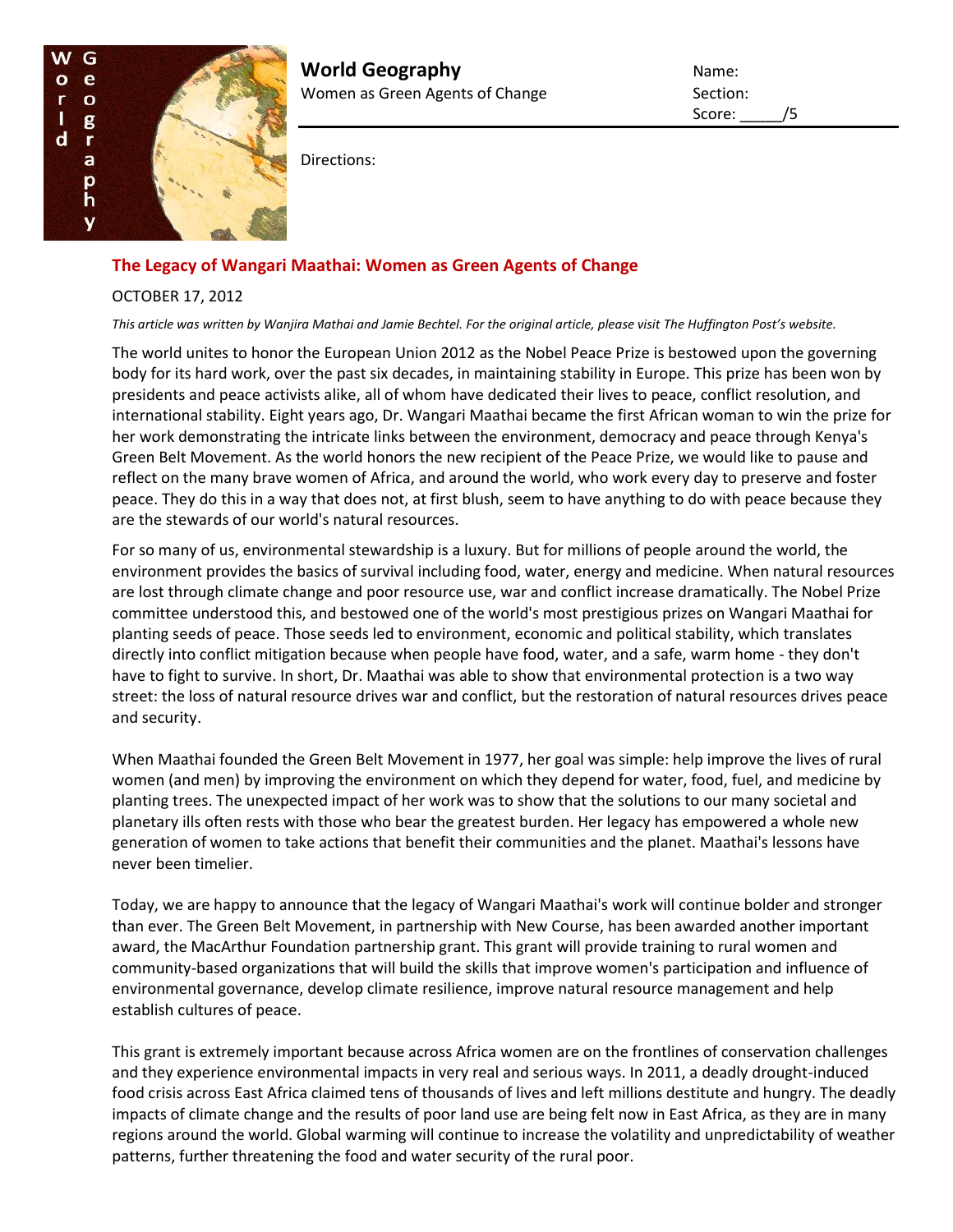

**World Geography Name:** Name: Women as Green Agents of Change Section:

Score: /5

Directions:

## **The Legacy of Wangari Maathai: Women as Green Agents of Change**

## OCTOBER 17, 2012

*This article was written by Wanjira Mathai and Jamie Bechtel. For the original article, please visit The Huffington Post's website.*

The world unites to honor the European Union 2012 as the Nobel Peace Prize is bestowed upon the governing body for its hard work, over the past six decades, in maintaining stability in Europe. This prize has been won by presidents and peace activists alike, all of whom have dedicated their lives to peace, conflict resolution, and international stability. Eight years ago, Dr. Wangari Maathai became the first African woman to win the prize for her work demonstrating the intricate links between the environment, democracy and peace through Kenya's Green Belt Movement. As the world honors the new recipient of the Peace Prize, we would like to pause and reflect on the many brave women of Africa, and around the world, who work every day to preserve and foster peace. They do this in a way that does not, at first blush, seem to have anything to do with peace because they are the stewards of our world's natural resources.

For so many of us, environmental stewardship is a luxury. But for millions of people around the world, the environment provides the basics of survival including food, water, energy and medicine. When natural resources are lost through climate change and poor resource use, war and conflict increase dramatically. The Nobel Prize committee understood this, and bestowed one of the world's most prestigious prizes on Wangari Maathai for planting seeds of peace. Those seeds led to environment, economic and political stability, which translates directly into conflict mitigation because when people have food, water, and a safe, warm home - they don't have to fight to survive. In short, Dr. Maathai was able to show that environmental protection is a two way street: the loss of natural resource drives war and conflict, but the restoration of natural resources drives peace and security.

When Maathai founded the Green Belt Movement in 1977, her goal was simple: help improve the lives of rural women (and men) by improving the environment on which they depend for water, food, fuel, and medicine by planting trees. The unexpected impact of her work was to show that the solutions to our many societal and planetary ills often rests with those who bear the greatest burden. Her legacy has empowered a whole new generation of women to take actions that benefit their communities and the planet. Maathai's lessons have never been timelier.

Today, we are happy to announce that the legacy of Wangari Maathai's work will continue bolder and stronger than ever. The Green Belt Movement, in partnership with New Course, has been awarded another important award, the MacArthur Foundation partnership grant. This grant will provide training to rural women and community-based organizations that will build the skills that improve women's participation and influence of environmental governance, develop climate resilience, improve natural resource management and help establish cultures of peace.

This grant is extremely important because across Africa women are on the frontlines of conservation challenges and they experience environmental impacts in very real and serious ways. In 2011, a deadly drought-induced food crisis across East Africa claimed tens of thousands of lives and left millions destitute and hungry. The deadly impacts of climate change and the results of poor land use are being felt now in East Africa, as they are in many regions around the world. Global warming will continue to increase the volatility and unpredictability of weather patterns, further threatening the food and water security of the rural poor.